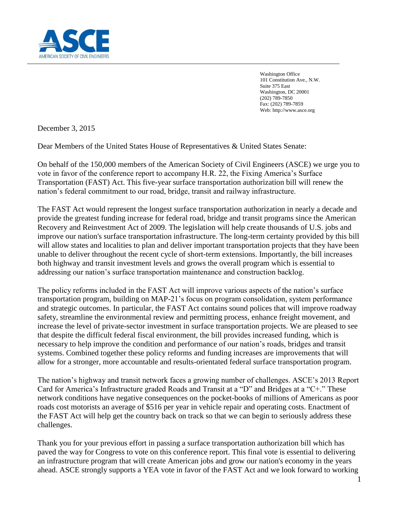

Washington Office 101 Constitution Ave., N.W. Suite 375 East Washington, DC 20001 (202) 789-7850 Fax: (202) 789-7859 Web: http://www.asce.org

December 3, 2015

Dear Members of the United States House of Representatives & United States Senate:

On behalf of the 150,000 members of the American Society of Civil Engineers (ASCE) we urge you to vote in favor of the conference report to accompany H.R. 22, the Fixing America's Surface Transportation (FAST) Act. This five-year surface transportation authorization bill will renew the nation's federal commitment to our road, bridge, transit and railway infrastructure.

The FAST Act would represent the longest surface transportation authorization in nearly a decade and provide the greatest funding increase for federal road, bridge and transit programs since the American Recovery and Reinvestment Act of 2009. The legislation will help create thousands of U.S. jobs and improve our nation's surface transportation infrastructure. The long-term certainty provided by this bill will allow states and localities to plan and deliver important transportation projects that they have been unable to deliver throughout the recent cycle of short-term extensions. Importantly, the bill increases both highway and transit investment levels and grows the overall program which is essential to addressing our nation's surface transportation maintenance and construction backlog.

The policy reforms included in the FAST Act will improve various aspects of the nation's surface transportation program, building on MAP-21's focus on program consolidation, system performance and strategic outcomes. In particular, the FAST Act contains sound polices that will improve roadway safety, streamline the environmental review and permitting process, enhance freight movement, and increase the level of private-sector investment in surface transportation projects. We are pleased to see that despite the difficult federal fiscal environment, the bill provides increased funding, which is necessary to help improve the condition and performance of our nation's roads, bridges and transit systems. Combined together these policy reforms and funding increases are improvements that will allow for a stronger, more accountable and results-orientated federal surface transportation program.

The nation's highway and transit network faces a growing number of challenges. ASCE's 2013 Report Card for America's Infrastructure graded Roads and Transit at a "D" and Bridges at a "C+." These network conditions have negative consequences on the pocket-books of millions of Americans as poor roads cost motorists an average of \$516 per year in vehicle repair and operating costs. Enactment of the FAST Act will help get the country back on track so that we can begin to seriously address these challenges.

Thank you for your previous effort in passing a surface transportation authorization bill which has paved the way for Congress to vote on this conference report. This final vote is essential to delivering an infrastructure program that will create American jobs and grow our nation's economy in the years ahead. ASCE strongly supports a YEA vote in favor of the FAST Act and we look forward to working